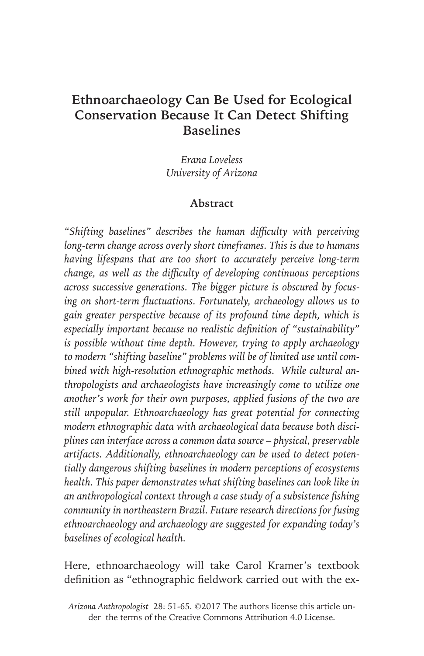# **Ethnoarchaeology Can Be Used for Ecological Conservation Because It Can Detect Shifting Baselines**

*Erana Loveless University of Arizona*

### **Abstract**

*"Shifting baselines" describes the human difficulty with perceiving long-term change across overly short timeframes. This is due to humans having lifespans that are too short to accurately perceive long-term change, as well as the difficulty of developing continuous perceptions across successive generations. The bigger picture is obscured by focusing on short-term fluctuations. Fortunately, archaeology allows us to gain greater perspective because of its profound time depth, which is especially important because no realistic definition of "sustainability" is possible without time depth. However, trying to apply archaeology to modern "shifting baseline" problems will be of limited use until combined with high-resolution ethnographic methods. While cultural anthropologists and archaeologists have increasingly come to utilize one another's work for their own purposes, applied fusions of the two are still unpopular. Ethnoarchaeology has great potential for connecting modern ethnographic data with archaeological data because both disciplines can interface across a common data source – physical, preservable artifacts. Additionally, ethnoarchaeology can be used to detect potentially dangerous shifting baselines in modern perceptions of ecosystems health. This paper demonstrates what shifting baselines can look like in an anthropological context through a case study of a subsistence fishing community in northeastern Brazil. Future research directions for fusing ethnoarchaeology and archaeology are suggested for expanding today's baselines of ecological health.*

Here, ethnoarchaeology will take Carol Kramer's textbook definition as "ethnographic fieldwork carried out with the ex-

*Arizona Anthropologist* 28: 51-65. ©2017 The authors license this article under the terms of the Creative Commons Attribution 4.0 License.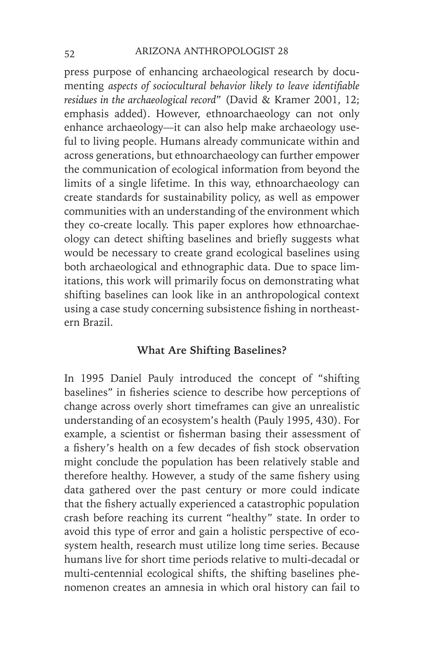press purpose of enhancing archaeological research by documenting *aspects of sociocultural behavior likely to leave identifiable residues in the archaeological record*" (David & Kramer 2001, 12; emphasis added). However, ethnoarchaeology can not only enhance archaeology—it can also help make archaeology useful to living people. Humans already communicate within and across generations, but ethnoarchaeology can further empower the communication of ecological information from beyond the limits of a single lifetime. In this way, ethnoarchaeology can create standards for sustainability policy, as well as empower communities with an understanding of the environment which they co-create locally. This paper explores how ethnoarchaeology can detect shifting baselines and briefly suggests what would be necessary to create grand ecological baselines using both archaeological and ethnographic data. Due to space limitations, this work will primarily focus on demonstrating what shifting baselines can look like in an anthropological context using a case study concerning subsistence fishing in northeastern Brazil.

#### **What Are Shifting Baselines?**

In 1995 Daniel Pauly introduced the concept of "shifting baselines" in fisheries science to describe how perceptions of change across overly short timeframes can give an unrealistic understanding of an ecosystem's health (Pauly 1995, 430). For example, a scientist or fisherman basing their assessment of a fishery's health on a few decades of fish stock observation might conclude the population has been relatively stable and therefore healthy. However, a study of the same fishery using data gathered over the past century or more could indicate that the fishery actually experienced a catastrophic population crash before reaching its current "healthy" state. In order to avoid this type of error and gain a holistic perspective of ecosystem health, research must utilize long time series. Because humans live for short time periods relative to multi-decadal or multi-centennial ecological shifts, the shifting baselines phenomenon creates an amnesia in which oral history can fail to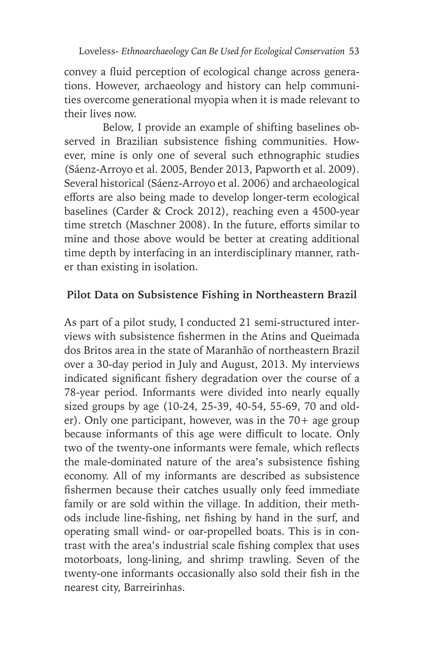convey a fluid perception of ecological change across generations. However, archaeology and history can help communities overcome generational myopia when it is made relevant to their lives now.

Below, I provide an example of shifting baselines observed in Brazilian subsistence fishing communities. However, mine is only one of several such ethnographic studies (Sáenz-Arroyo et al. 2005, Bender 2013, Papworth et al. 2009). Several historical (Sáenz-Arroyo et al. 2006) and archaeological efforts are also being made to develop longer-term ecological baselines (Carder & Crock 2012), reaching even a 4500-year time stretch (Maschner 2008). In the future, efforts similar to mine and those above would be better at creating additional time depth by interfacing in an interdisciplinary manner, rather than existing in isolation.

# **Pilot Data on Subsistence Fishing in Northeastern Brazil**

As part of a pilot study, I conducted 21 semi-structured interviews with subsistence fishermen in the Atins and Queimada dos Britos area in the state of Maranhão of northeastern Brazil over a 30-day period in July and August, 2013. My interviews indicated significant fishery degradation over the course of a 78-year period. Informants were divided into nearly equally sized groups by age (10-24, 25-39, 40-54, 55-69, 70 and older). Only one participant, however, was in the 70+ age group because informants of this age were difficult to locate. Only two of the twenty-one informants were female, which reflects the male-dominated nature of the area's subsistence fishing economy. All of my informants are described as subsistence fishermen because their catches usually only feed immediate family or are sold within the village. In addition, their methods include line-fishing, net fishing by hand in the surf, and operating small wind- or oar-propelled boats. This is in contrast with the area's industrial scale fishing complex that uses motorboats, long-lining, and shrimp trawling. Seven of the twenty-one informants occasionally also sold their fish in the nearest city, Barreirinhas.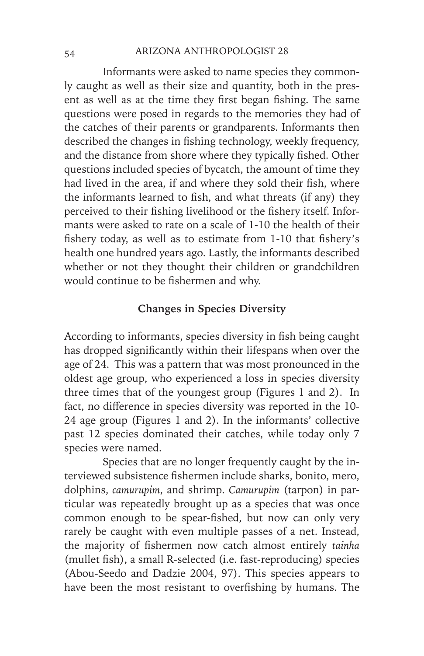#### 54 ARIZONA ANTHROPOLOGIST 28

Informants were asked to name species they commonly caught as well as their size and quantity, both in the present as well as at the time they first began fishing. The same questions were posed in regards to the memories they had of the catches of their parents or grandparents. Informants then described the changes in fishing technology, weekly frequency, and the distance from shore where they typically fished. Other questions included species of bycatch, the amount of time they had lived in the area, if and where they sold their fish, where the informants learned to fish, and what threats (if any) they perceived to their fishing livelihood or the fishery itself. Informants were asked to rate on a scale of 1-10 the health of their fishery today, as well as to estimate from 1-10 that fishery's health one hundred years ago. Lastly, the informants described whether or not they thought their children or grandchildren would continue to be fishermen and why.

# **Changes in Species Diversity**

According to informants, species diversity in fish being caught has dropped significantly within their lifespans when over the age of 24. This was a pattern that was most pronounced in the oldest age group, who experienced a loss in species diversity three times that of the youngest group (Figures 1 and 2). In fact, no difference in species diversity was reported in the 10- 24 age group (Figures 1 and 2). In the informants' collective past 12 species dominated their catches, while today only 7 species were named.

Species that are no longer frequently caught by the interviewed subsistence fishermen include sharks, bonito, mero, dolphins, *camurupim*, and shrimp. *Camurupim* (tarpon) in particular was repeatedly brought up as a species that was once common enough to be spear-fished, but now can only very rarely be caught with even multiple passes of a net. Instead, the majority of fishermen now catch almost entirely *tainha* (mullet fish), a small R-selected (i.e. fast-reproducing) species (Abou-Seedo and Dadzie 2004, 97). This species appears to have been the most resistant to overfishing by humans. The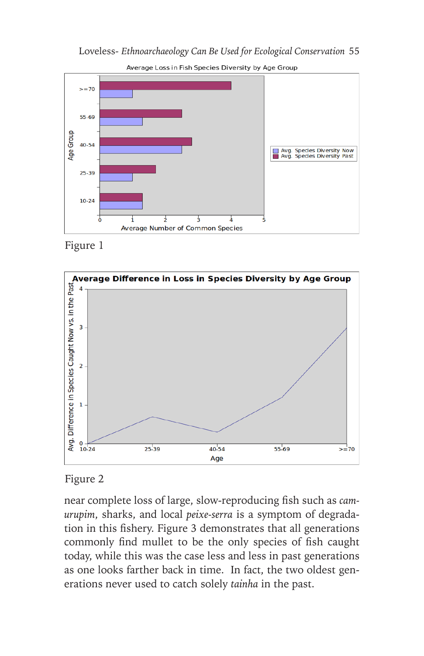

Average Loss in Fish Species Diversity by Age Group





# Figure 2

near complete loss of large, slow-reproducing fish such as *camurupim*, sharks, and local *peixe-serra* is a symptom of degradation in this fishery. Figure 3 demonstrates that all generations commonly find mullet to be the only species of fish caught today, while this was the case less and less in past generations as one looks farther back in time. In fact, the two oldest generations never used to catch solely *tainha* in the past.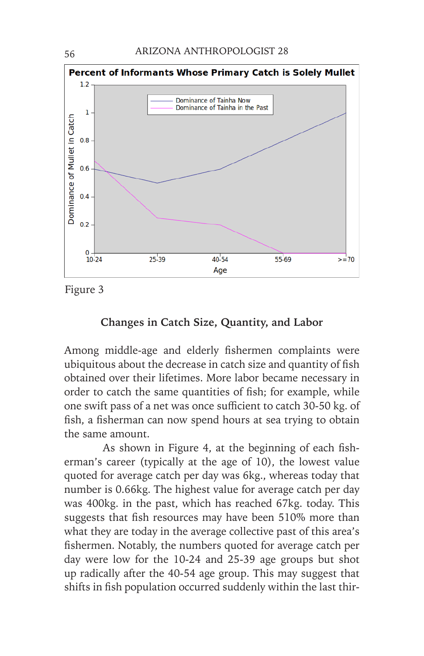

Figure 3

## **Changes in Catch Size, Quantity, and Labor**

Among middle-age and elderly fishermen complaints were ubiquitous about the decrease in catch size and quantity of fish obtained over their lifetimes. More labor became necessary in order to catch the same quantities of fish; for example, while one swift pass of a net was once sufficient to catch 30-50 kg. of fish, a fisherman can now spend hours at sea trying to obtain the same amount.

As shown in Figure 4, at the beginning of each fisherman's career (typically at the age of 10), the lowest value quoted for average catch per day was 6kg., whereas today that number is 0.66kg. The highest value for average catch per day was 400kg. in the past, which has reached 67kg. today. This suggests that fish resources may have been 510% more than what they are today in the average collective past of this area's fishermen. Notably, the numbers quoted for average catch per day were low for the 10-24 and 25-39 age groups but shot up radically after the 40-54 age group. This may suggest that shifts in fish population occurred suddenly within the last thir-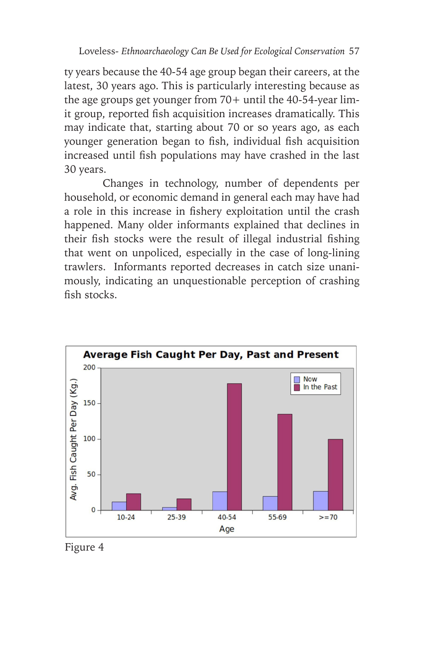ty years because the 40-54 age group began their careers, at the latest, 30 years ago. This is particularly interesting because as the age groups get younger from  $70+$  until the 40-54-year limit group, reported fish acquisition increases dramatically. This may indicate that, starting about 70 or so years ago, as each younger generation began to fish, individual fish acquisition increased until fish populations may have crashed in the last 30 years.

Changes in technology, number of dependents per household, or economic demand in general each may have had a role in this increase in fishery exploitation until the crash happened. Many older informants explained that declines in their fish stocks were the result of illegal industrial fishing that went on unpoliced, especially in the case of long-lining trawlers. Informants reported decreases in catch size unanimously, indicating an unquestionable perception of crashing fish stocks.



Figure 4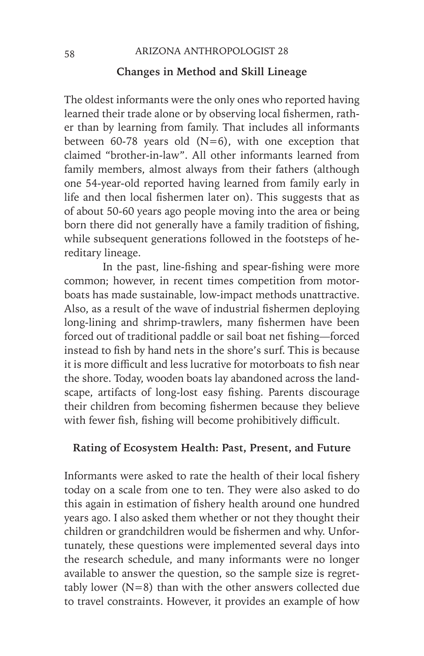#### **Changes in Method and Skill Lineage**

The oldest informants were the only ones who reported having learned their trade alone or by observing local fishermen, rather than by learning from family. That includes all informants between 60-78 years old  $(N=6)$ , with one exception that claimed "brother-in-law". All other informants learned from family members, almost always from their fathers (although one 54-year-old reported having learned from family early in life and then local fishermen later on). This suggests that as of about 50-60 years ago people moving into the area or being born there did not generally have a family tradition of fishing, while subsequent generations followed in the footsteps of hereditary lineage.

In the past, line-fishing and spear-fishing were more common; however, in recent times competition from motorboats has made sustainable, low-impact methods unattractive. Also, as a result of the wave of industrial fishermen deploying long-lining and shrimp-trawlers, many fishermen have been forced out of traditional paddle or sail boat net fishing—forced instead to fish by hand nets in the shore's surf. This is because it is more difficult and less lucrative for motorboats to fish near the shore. Today, wooden boats lay abandoned across the landscape, artifacts of long-lost easy fishing. Parents discourage their children from becoming fishermen because they believe with fewer fish, fishing will become prohibitively difficult.

## **Rating of Ecosystem Health: Past, Present, and Future**

Informants were asked to rate the health of their local fishery today on a scale from one to ten. They were also asked to do this again in estimation of fishery health around one hundred years ago. I also asked them whether or not they thought their children or grandchildren would be fishermen and why. Unfortunately, these questions were implemented several days into the research schedule, and many informants were no longer available to answer the question, so the sample size is regrettably lower (N=8) than with the other answers collected due to travel constraints. However, it provides an example of how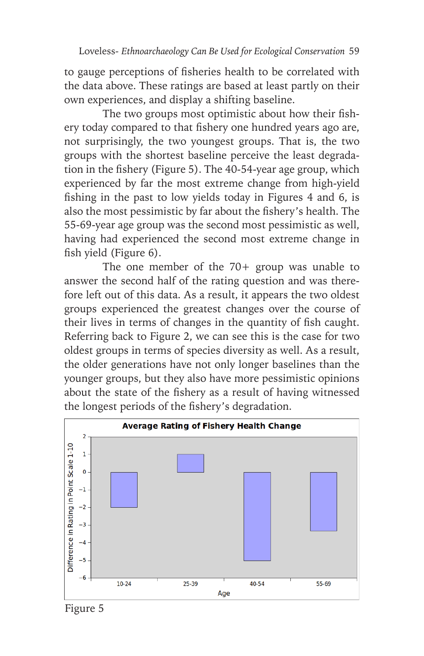to gauge perceptions of fisheries health to be correlated with the data above. These ratings are based at least partly on their own experiences, and display a shifting baseline.

The two groups most optimistic about how their fishery today compared to that fishery one hundred years ago are, not surprisingly, the two youngest groups. That is, the two groups with the shortest baseline perceive the least degradation in the fishery (Figure 5). The 40-54-year age group, which experienced by far the most extreme change from high-yield fishing in the past to low yields today in Figures 4 and 6, is also the most pessimistic by far about the fishery's health. The 55-69-year age group was the second most pessimistic as well, having had experienced the second most extreme change in fish yield (Figure 6).

The one member of the 70+ group was unable to answer the second half of the rating question and was therefore left out of this data. As a result, it appears the two oldest groups experienced the greatest changes over the course of their lives in terms of changes in the quantity of fish caught. Referring back to Figure 2, we can see this is the case for two oldest groups in terms of species diversity as well. As a result, the older generations have not only longer baselines than the younger groups, but they also have more pessimistic opinions about the state of the fishery as a result of having witnessed the longest periods of the fishery's degradation.



Figure 5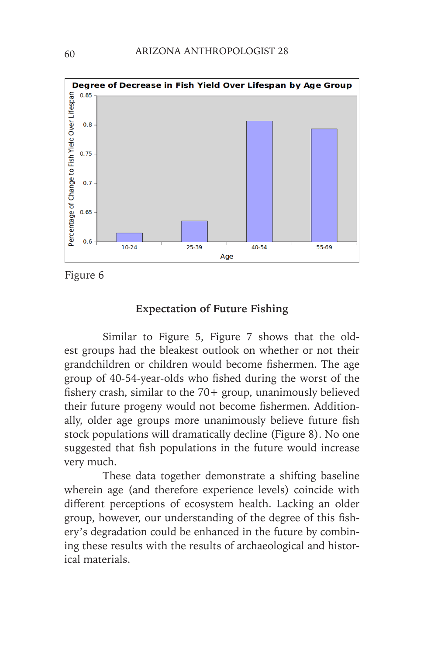

Figure 6

### **Expectation of Future Fishing**

Similar to Figure 5, Figure 7 shows that the oldest groups had the bleakest outlook on whether or not their grandchildren or children would become fishermen. The age group of 40-54-year-olds who fished during the worst of the fishery crash, similar to the 70+ group, unanimously believed their future progeny would not become fishermen. Additionally, older age groups more unanimously believe future fish stock populations will dramatically decline (Figure 8). No one suggested that fish populations in the future would increase very much.

These data together demonstrate a shifting baseline wherein age (and therefore experience levels) coincide with different perceptions of ecosystem health. Lacking an older group, however, our understanding of the degree of this fishery's degradation could be enhanced in the future by combining these results with the results of archaeological and historical materials.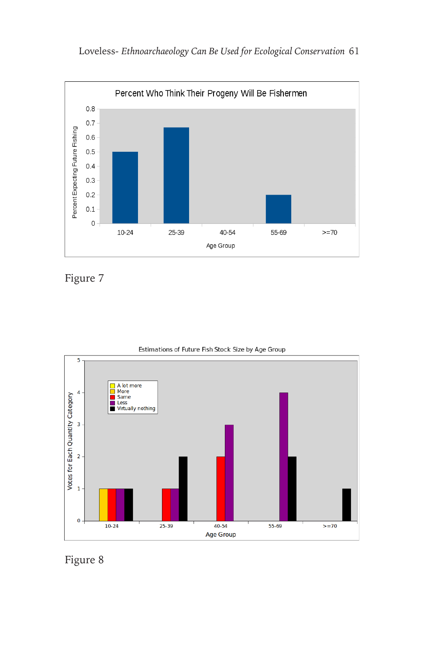

Figure 7



Estimations of Future Fish Stock Size by Age Group

Figure 8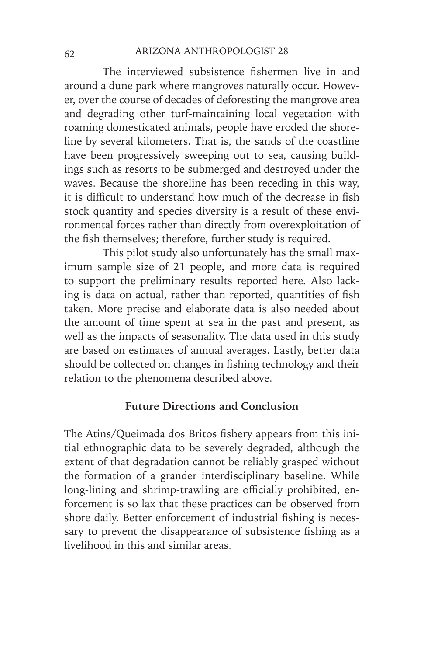The interviewed subsistence fishermen live in and around a dune park where mangroves naturally occur. However, over the course of decades of deforesting the mangrove area and degrading other turf-maintaining local vegetation with roaming domesticated animals, people have eroded the shoreline by several kilometers. That is, the sands of the coastline have been progressively sweeping out to sea, causing buildings such as resorts to be submerged and destroyed under the waves. Because the shoreline has been receding in this way, it is difficult to understand how much of the decrease in fish stock quantity and species diversity is a result of these environmental forces rather than directly from overexploitation of the fish themselves; therefore, further study is required.

This pilot study also unfortunately has the small maximum sample size of 21 people, and more data is required to support the preliminary results reported here. Also lacking is data on actual, rather than reported, quantities of fish taken. More precise and elaborate data is also needed about the amount of time spent at sea in the past and present, as well as the impacts of seasonality. The data used in this study are based on estimates of annual averages. Lastly, better data should be collected on changes in fishing technology and their relation to the phenomena described above.

## **Future Directions and Conclusion**

The Atins/Queimada dos Britos fishery appears from this initial ethnographic data to be severely degraded, although the extent of that degradation cannot be reliably grasped without the formation of a grander interdisciplinary baseline. While long-lining and shrimp-trawling are officially prohibited, enforcement is so lax that these practices can be observed from shore daily. Better enforcement of industrial fishing is necessary to prevent the disappearance of subsistence fishing as a livelihood in this and similar areas.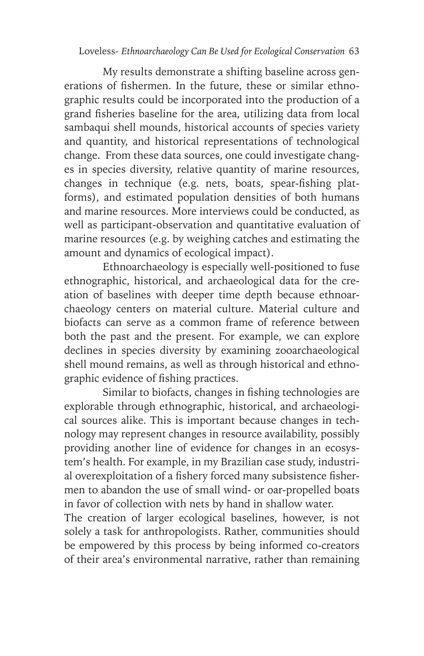My results demonstrate a shifting baseline across generations of fishermen. In the future, these or similar ethnographic results could be incorporated into the production of a grand fisheries baseline for the area, utilizing data from local sambaqui shell mounds, historical accounts of species variety and quantity, and historical representations of technological change. From these data sources, one could investigate changes in species diversity, relative quantity of marine resources, changes in technique (e.g. nets, boats, spear-fishing platforms), and estimated population densities of both humans and marine resources. More interviews could be conducted, as well as participant-observation and quantitative evaluation of marine resources (e.g. by weighing catches and estimating the amount and dynamics of ecological impact).

Ethnoarchaeology is especially well-positioned to fuse ethnographic, historical, and archaeological data for the creation of baselines with deeper time depth because ethnoarchaeology centers on material culture. Material culture and biofacts can serve as a common frame of reference between both the past and the present. For example, we can explore declines in species diversity by examining zooarchaeological shell mound remains, as well as through historical and ethnographic evidence of fishing practices.

Similar to biofacts, changes in fishing technologies are explorable through ethnographic, historical, and archaeological sources alike. This is important because changes in technology may represent changes in resource availability, possibly providing another line of evidence for changes in an ecosystem's health. For example, in my Brazilian case study, industrial overexploitation of a fishery forced many subsistence fishermen to abandon the use of small wind- or oar-propelled boats in favor of collection with nets by hand in shallow water.

The creation of larger ecological baselines, however, is not solely a task for anthropologists. Rather, communities should be empowered by this process by being informed co-creators of their area's environmental narrative, rather than remaining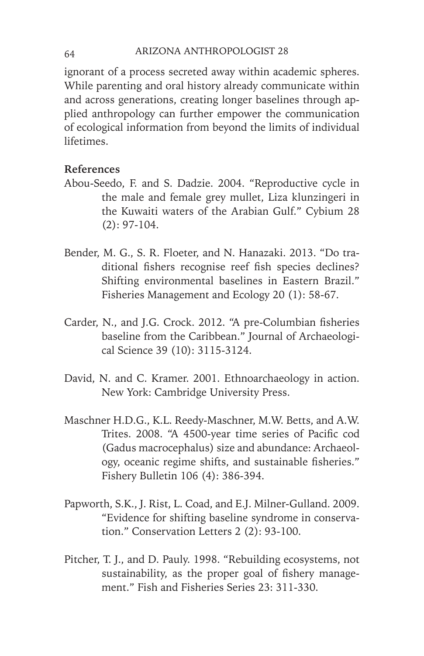ignorant of a process secreted away within academic spheres. While parenting and oral history already communicate within and across generations, creating longer baselines through applied anthropology can further empower the communication of ecological information from beyond the limits of individual lifetimes.

# **References**

- Abou-Seedo, F. and S. Dadzie. 2004. "Reproductive cycle in the male and female grey mullet, Liza klunzingeri in the Kuwaiti waters of the Arabian Gulf." Cybium 28 (2): 97-104.
- Bender, M. G., S. R. Floeter, and N. Hanazaki. 2013. "Do traditional fishers recognise reef fish species declines? Shifting environmental baselines in Eastern Brazil." Fisheries Management and Ecology 20 (1): 58-67.
- Carder, N., and J.G. Crock. 2012. "A pre-Columbian fisheries baseline from the Caribbean." Journal of Archaeological Science 39 (10): 3115-3124.
- David, N. and C. Kramer. 2001. Ethnoarchaeology in action. New York: Cambridge University Press.
- Maschner H.D.G., K.L. Reedy-Maschner, M.W. Betts, and A.W. Trites. 2008. "A 4500-year time series of Pacific cod (Gadus macrocephalus) size and abundance: Archaeology, oceanic regime shifts, and sustainable fisheries." Fishery Bulletin 106 (4): 386-394.
- Papworth, S.K., J. Rist, L. Coad, and E.J. Milner-Gulland. 2009. "Evidence for shifting baseline syndrome in conservation." Conservation Letters 2 (2): 93-100.
- Pitcher, T. J., and D. Pauly. 1998. "Rebuilding ecosystems, not sustainability, as the proper goal of fishery management." Fish and Fisheries Series 23: 311-330.